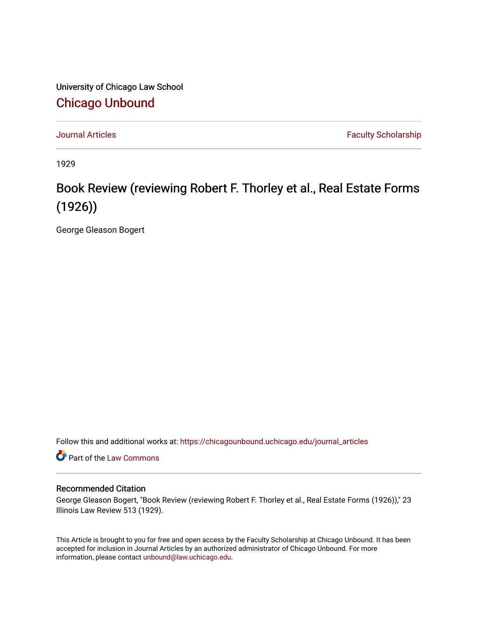University of Chicago Law School [Chicago Unbound](https://chicagounbound.uchicago.edu/)

[Journal Articles](https://chicagounbound.uchicago.edu/journal_articles) **Faculty Scholarship Journal Articles** 

1929

## Book Review (reviewing Robert F. Thorley et al., Real Estate Forms (1926))

George Gleason Bogert

Follow this and additional works at: [https://chicagounbound.uchicago.edu/journal\\_articles](https://chicagounbound.uchicago.edu/journal_articles?utm_source=chicagounbound.uchicago.edu%2Fjournal_articles%2F8957&utm_medium=PDF&utm_campaign=PDFCoverPages) 

**C** Part of the [Law Commons](http://network.bepress.com/hgg/discipline/578?utm_source=chicagounbound.uchicago.edu%2Fjournal_articles%2F8957&utm_medium=PDF&utm_campaign=PDFCoverPages)

## Recommended Citation

George Gleason Bogert, "Book Review (reviewing Robert F. Thorley et al., Real Estate Forms (1926))," 23 Illinois Law Review 513 (1929).

This Article is brought to you for free and open access by the Faculty Scholarship at Chicago Unbound. It has been accepted for inclusion in Journal Articles by an authorized administrator of Chicago Unbound. For more information, please contact [unbound@law.uchicago.edu](mailto:unbound@law.uchicago.edu).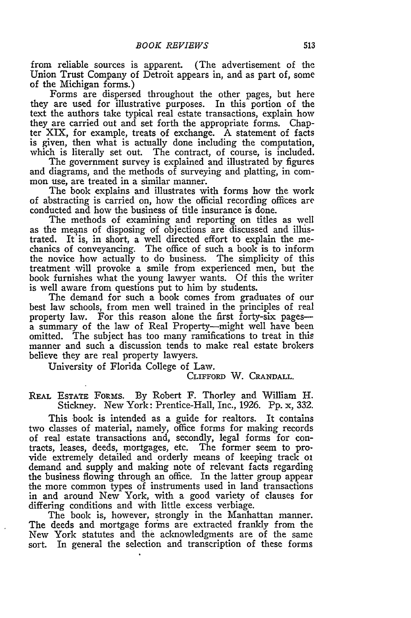from reliable sources is apparent. (The advertisement of the Union Trust Company of Detroit appears in, and as part of, some of the Michigan forms.)

Forms are dispersed throughout the other pages, but here they are used for illustrative purposes. In this portion of the text the authors take typical real estate transactions, explain how they are carried out and set forth the appropriate forms. Chapter XIX, for example, treats of exchange. A statement of facts is given, then what is actually done including the computation, which is literally set out. The contract, of course, is included.

The government survey is explained and illustrated by figures and diagrams, and the methods of surveying and platting, in common use, are treated in a similar manner.

The book explains and illustrates with forms how the work of abstracting is carried on, how the official recording offices are conducted and how the business of title insurance is done.

The methods of examining and reporting on titles as well as the means of disposing of objections are discussed and illus-trated. It'is, in short, a well directed effort to explain the mechanics of conveyancing. The office of such a book is to inform the novice how actually to do business. The simplicity of this treatment will provoke a smile from experienced men, but the book furnishes what the young lawyer wants. Of this the writer is well aware from questions put to him by students.

The demand for such a book comes from graduates of our best law schools, from men well trained in the principles of real property law. For this reason alone the first forty-six pagesa summary of the law of Real Property-might well have been omitted. The subject has too many ramifications to treat in this manner and such a discussion tends to make real estate brokers believe they are real property lawyers.

University of Florida College of Law.

## **CLIFFORD** W. **CRANDALL.**

REAL ESTATE FORMs. By Robert F. Thorley and William H. Stickney. New York: Prentice-Hall, Inc., 1926. Pp. x, 332.

This book is intended as a guide for realtors. It contains two classes of material, namely, office forms for making records of real estate transactions and, secondly, legal forms for contracts, leases, deeds, mortgages, etc. The former seem to provide extremely detailed and orderly means of keeping track oi demand and supply and making note of relevant facts regarding the business flowing through an office. In the latter group appear the more common types of instruments used in land transactions in and around New York, with a good variety of clauses for differing conditions and with little excess verbiage.

The book is, however, strongly in the Manhattan manner. The deeds and mortgage forms are extracted frankly from the New York statutes and the acknowledgments are of the same sort. In general the selection and transcription of these forms